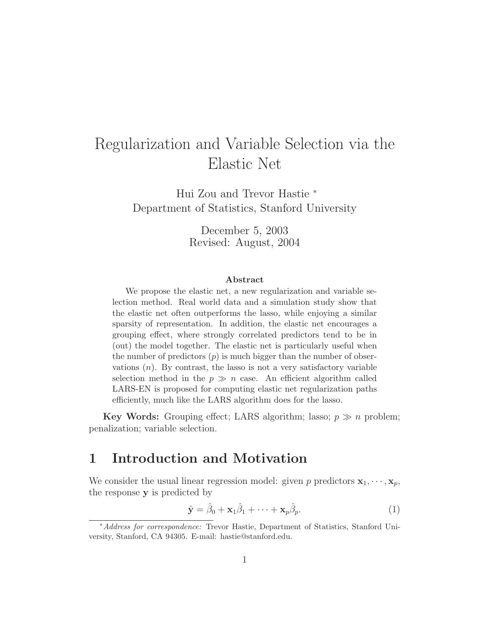# Regularization and Variable Selection via the Elastic Net

Hui Zou and Trevor Hastie <sup>∗</sup> Department of Statistics, Stanford University

> December 5, 2003 Revised: August, 2004

#### **Abstract**

We propose the elastic net, a new regularization and variable selection method. Real world data and a simulation study show that the elastic net often outperforms the lasso, while enjoying a similar sparsity of representation. In addition, the elastic net encourages a grouping effect, where strongly correlated predictors tend to be in (out) the model together. The elastic net is particularly useful when the number of predictors  $(p)$  is much bigger than the number of observations  $(n)$ . By contrast, the lasso is not a very satisfactory variable selection method in the  $p \gg n$  case. An efficient algorithm called LARS-EN is proposed for computing elastic net regularization paths efficiently, much like the LARS algorithm does for the lasso.

**Key Words:** Grouping effect; LARS algorithm; lasso;  $p \gg n$  problem; penalization; variable selection.

### **1 Introduction and Motivation**

We consider the usual linear regression model: given p predictors  $\mathbf{x}_1, \dots, \mathbf{x}_p$ , the response **y** is predicted by

$$
\hat{\mathbf{y}} = \hat{\beta}_0 + \mathbf{x}_1 \hat{\beta}_1 + \dots + \mathbf{x}_p \hat{\beta}_p.
$$
 (1)

<sup>∗</sup>Address for correspondence: Trevor Hastie, Department of Statistics, Stanford University, Stanford, CA 94305. E-mail: hastie@stanford.edu.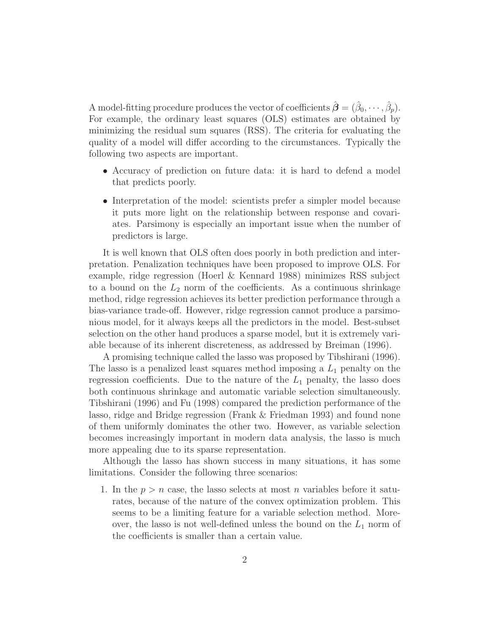A model-fitting procedure produces the vector of coefficients  $\hat{\boldsymbol{\beta}} = (\hat{\beta}_0, \cdots, \hat{\beta}_p)$ . For example, the ordinary least squares (OLS) estimates are obtained by minimizing the residual sum squares (RSS). The criteria for evaluating the quality of a model will differ according to the circumstances. Typically the following two aspects are important.

- Accuracy of prediction on future data: it is hard to defend a model that predicts poorly.
- Interpretation of the model: scientists prefer a simpler model because it puts more light on the relationship between response and covariates. Parsimony is especially an important issue when the number of predictors is large.

It is well known that OLS often does poorly in both prediction and interpretation. Penalization techniques have been proposed to improve OLS. For example, ridge regression (Hoerl & Kennard 1988) minimizes RSS subject to a bound on the  $L_2$  norm of the coefficients. As a continuous shrinkage method, ridge regression achieves its better prediction performance through a bias-variance trade-off. However, ridge regression cannot produce a parsimonious model, for it always keeps all the predictors in the model. Best-subset selection on the other hand produces a sparse model, but it is extremely variable because of its inherent discreteness, as addressed by Breiman (1996).

A promising technique called the lasso was proposed by Tibshirani (1996). The lasso is a penalized least squares method imposing a  $L_1$  penalty on the regression coefficients. Due to the nature of the  $L_1$  penalty, the lasso does both continuous shrinkage and automatic variable selection simultaneously. Tibshirani (1996) and Fu (1998) compared the prediction performance of the lasso, ridge and Bridge regression (Frank & Friedman 1993) and found none of them uniformly dominates the other two. However, as variable selection becomes increasingly important in modern data analysis, the lasso is much more appealing due to its sparse representation.

Although the lasso has shown success in many situations, it has some limitations. Consider the following three scenarios:

1. In the  $p>n$  case, the lasso selects at most n variables before it saturates, because of the nature of the convex optimization problem. This seems to be a limiting feature for a variable selection method. Moreover, the lasso is not well-defined unless the bound on the  $L_1$  norm of the coefficients is smaller than a certain value.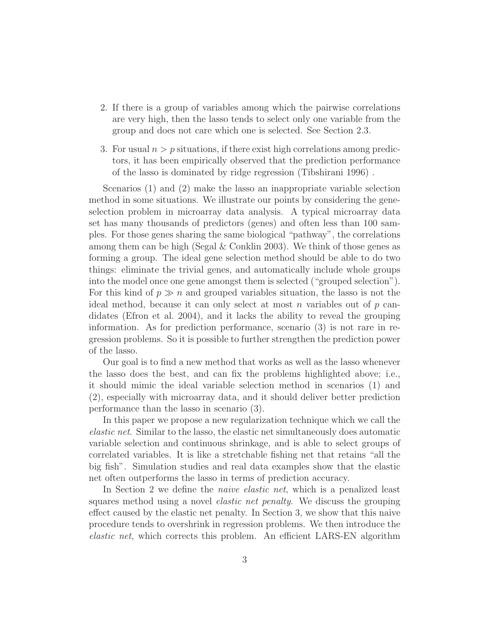- 2. If there is a group of variables among which the pairwise correlations are very high, then the lasso tends to select only one variable from the group and does not care which one is selected. See Section 2.3.
- 3. For usual  $n>p$  situations, if there exist high correlations among predictors, it has been empirically observed that the prediction performance of the lasso is dominated by ridge regression (Tibshirani 1996) .

Scenarios (1) and (2) make the lasso an inappropriate variable selection method in some situations. We illustrate our points by considering the geneselection problem in microarray data analysis. A typical microarray data set has many thousands of predictors (genes) and often less than 100 samples. For those genes sharing the same biological "pathway", the correlations among them can be high (Segal  $&$  Conklin 2003). We think of those genes as forming a group. The ideal gene selection method should be able to do two things: eliminate the trivial genes, and automatically include whole groups into the model once one gene amongst them is selected ("grouped selection"). For this kind of  $p \gg n$  and grouped variables situation, the lasso is not the ideal method, because it can only select at most n variables out of  $p$  candidates (Efron et al. 2004), and it lacks the ability to reveal the grouping information. As for prediction performance, scenario (3) is not rare in regression problems. So it is possible to further strengthen the prediction power of the lasso.

Our goal is to find a new method that works as well as the lasso whenever the lasso does the best, and can fix the problems highlighted above; i.e., it should mimic the ideal variable selection method in scenarios (1) and (2), especially with microarray data, and it should deliver better prediction performance than the lasso in scenario (3).

In this paper we propose a new regularization technique which we call the elastic net. Similar to the lasso, the elastic net simultaneously does automatic variable selection and continuous shrinkage, and is able to select groups of correlated variables. It is like a stretchable fishing net that retains "all the big fish". Simulation studies and real data examples show that the elastic net often outperforms the lasso in terms of prediction accuracy.

In Section 2 we define the *naive elastic net*, which is a penalized least squares method using a novel elastic net penalty. We discuss the grouping effect caused by the elastic net penalty. In Section 3, we show that this naive procedure tends to overshrink in regression problems. We then introduce the elastic net, which corrects this problem. An efficient LARS-EN algorithm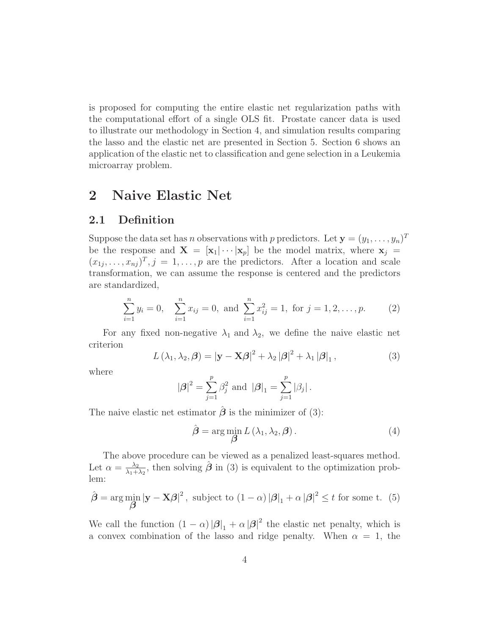is proposed for computing the entire elastic net regularization paths with the computational effort of a single OLS fit. Prostate cancer data is used to illustrate our methodology in Section 4, and simulation results comparing the lasso and the elastic net are presented in Section 5. Section 6 shows an application of the elastic net to classification and gene selection in a Leukemia microarray problem.

# **2 Naive Elastic Net**

#### **2.1 Definition**

Suppose the data set has *n* observations with *p* predictors. Let  $\mathbf{y} = (y_1, \ldots, y_n)^T$ be the response and  $\mathbf{X} = [\mathbf{x}_1 | \cdots | \mathbf{x}_p]$  be the model matrix, where  $\mathbf{x}_j =$  $(x_{1j},...,x_{nj})^T$ ,  $j=1,...,p$  are the predictors. After a location and scale transformation, we can assume the response is centered and the predictors are standardized,

$$
\sum_{i=1}^{n} y_i = 0, \quad \sum_{i=1}^{n} x_{ij} = 0, \text{ and } \sum_{i=1}^{n} x_{ij}^2 = 1, \text{ for } j = 1, 2, \dots, p. \tag{2}
$$

For any fixed non-negative  $\lambda_1$  and  $\lambda_2$ , we define the naive elastic net criterion

$$
L(\lambda_1, \lambda_2, \boldsymbol{\beta}) = |\mathbf{y} - \mathbf{X}\boldsymbol{\beta}|^2 + \lambda_2 |\boldsymbol{\beta}|^2 + \lambda_1 |\boldsymbol{\beta}|_1,
$$
\n(3)

where

$$
|\beta|^2 = \sum_{j=1}^p \beta_j^2
$$
 and  $|\beta|_1 = \sum_{j=1}^p |\beta_j|$ .

The naive elastic net estimator  $\hat{\boldsymbol{\beta}}$  is the minimizer of (3):

$$
\hat{\boldsymbol{\beta}} = \arg\min_{\boldsymbol{\beta}} L(\lambda_1, \lambda_2, \boldsymbol{\beta}). \tag{4}
$$

The above procedure can be viewed as a penalized least-squares method. Let  $\alpha = \frac{\lambda_2}{\lambda_1 + \lambda_2}$ , then solving  $\hat{\boldsymbol{\beta}}$  in (3) is equivalent to the optimization problem:

$$
\hat{\boldsymbol{\beta}} = \arg\min_{\boldsymbol{\beta}} |\mathbf{y} - \mathbf{X}\boldsymbol{\beta}|^2, \text{ subject to } (1 - \alpha) |\boldsymbol{\beta}|_1 + \alpha |\boldsymbol{\beta}|^2 \le t \text{ for some t. (5)}
$$

We call the function  $(1 - \alpha) |\beta|_1 + \alpha |\beta|^2$  the elastic net penalty, which is a convex combination of the lasso and ridge penalty. When  $\alpha = 1$ , the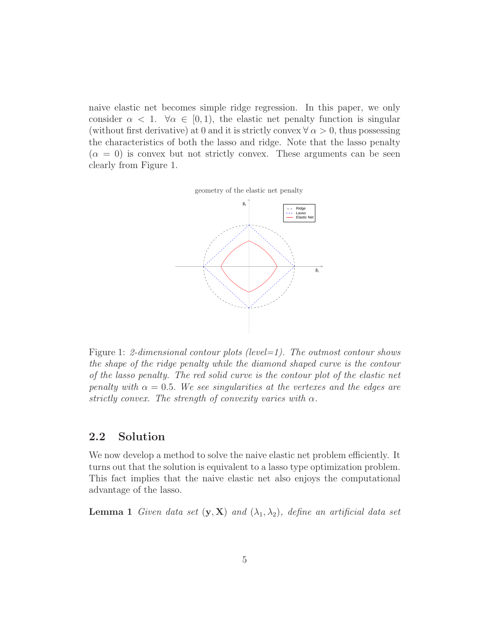naive elastic net becomes simple ridge regression. In this paper, we only consider  $\alpha < 1$ .  $\forall \alpha \in [0, 1)$ , the elastic net penalty function is singular (without first derivative) at 0 and it is strictly convex  $\forall \alpha > 0$ , thus possessing the characteristics of both the lasso and ridge. Note that the lasso penalty  $(\alpha = 0)$  is convex but not strictly convex. These arguments can be seen clearly from Figure 1.





Figure 1: 2-dimensional contour plots (level=1). The outmost contour shows the shape of the ridge penalty while the diamond shaped curve is the contour of the lasso penalty. The red solid curve is the contour plot of the elastic net penalty with  $\alpha = 0.5$ . We see singularities at the vertexes and the edges are strictly convex. The strength of convexity varies with  $\alpha$ .

#### **2.2 Solution**

We now develop a method to solve the naive elastic net problem efficiently. It turns out that the solution is equivalent to a lasso type optimization problem. This fact implies that the naive elastic net also enjoys the computational advantage of the lasso.

**Lemma 1** Given data set  $(\mathbf{y}, \mathbf{X})$  and  $(\lambda_1, \lambda_2)$ , define an artificial data set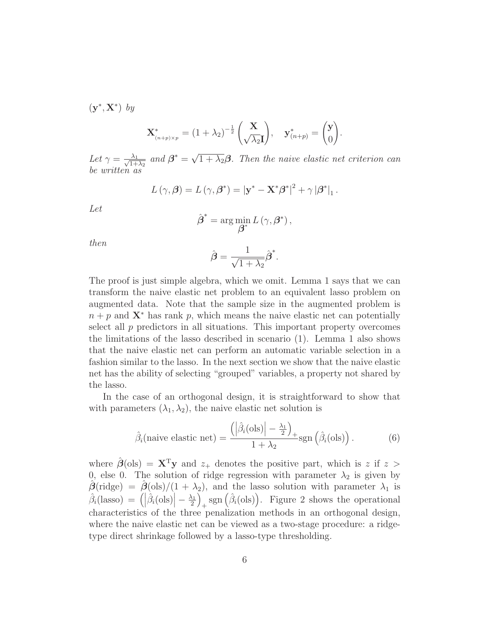(**y**∗, **X**∗) by

$$
\mathbf{X}_{\binom{n+p}{\lambda p}}^* = (1+\lambda_2)^{-\frac{1}{2}} \begin{pmatrix} \mathbf{X} \\ \sqrt{\lambda_2} \mathbf{I} \end{pmatrix}, \quad \mathbf{y}_{\binom{n+p}{}}^* = \begin{pmatrix} \mathbf{y} \\ 0 \end{pmatrix}.
$$

Let  $\gamma = \frac{\lambda_1}{\sqrt{1+\lambda_2}}$  and  $\beta^* = \sqrt{1+\lambda_2\beta}$ . Then the naive elastic net criterion can be written as

$$
L(\gamma, \beta) = L(\gamma, \beta^*) = |\mathbf{y}^* - \mathbf{X}^* \beta^*|^2 + \gamma |\beta^*|_1.
$$

Let

$$
\hat{\boldsymbol{\beta}}^* = \arg\min_{\boldsymbol{\beta}^*} L(\gamma, \boldsymbol{\beta}^*),
$$

then

$$
\hat{\boldsymbol{\beta}} = \frac{1}{\sqrt{1+\lambda_2}} \hat{\boldsymbol{\beta}}^*.
$$

The proof is just simple algebra, which we omit. Lemma 1 says that we can transform the naive elastic net problem to an equivalent lasso problem on augmented data. Note that the sample size in the augmented problem is  $n + p$  and  $X^*$  has rank p, which means the naive elastic net can potentially select all  $p$  predictors in all situations. This important property overcomes the limitations of the lasso described in scenario (1). Lemma 1 also shows that the naive elastic net can perform an automatic variable selection in a fashion similar to the lasso. In the next section we show that the naive elastic net has the ability of selecting "grouped" variables, a property not shared by the lasso.

In the case of an orthogonal design, it is straightforward to show that with parameters  $(\lambda_1, \lambda_2)$ , the naive elastic net solution is

$$
\hat{\beta}_i(\text{naive elastic net}) = \frac{\left(\left|\hat{\beta}_i(\text{ols})\right| - \frac{\lambda_1}{2}\right)_+}{1 + \lambda_2} \text{sgn}\left(\hat{\beta}_i(\text{ols})\right). \tag{6}
$$

where  $\hat{\boldsymbol{\beta}}(\text{ols}) = \mathbf{X}^T \mathbf{y}$  and  $z_+$  denotes the positive part, which is z if z > 0, else 0. The solution of ridge regression with parameter  $\lambda_2$  is given by  $\hat{\boldsymbol{\beta}}(\text{ridge}) = \hat{\boldsymbol{\beta}}(\text{ols})/(1 + \lambda_2)$ , and the lasso solution with parameter  $\lambda_1$  is  $\hat{\beta}_i(\text{lasso}) = (|\hat{\beta}_i(\text{ols})| - \frac{\lambda_1}{2})$  $\int_{+}$ sgn  $(\hat{\beta}_i(\text{ols}))$ . Figure 2 shows the operational characteristics of the three penalization methods in an orthogonal design, where the naive elastic net can be viewed as a two-stage procedure: a ridgetype direct shrinkage followed by a lasso-type thresholding.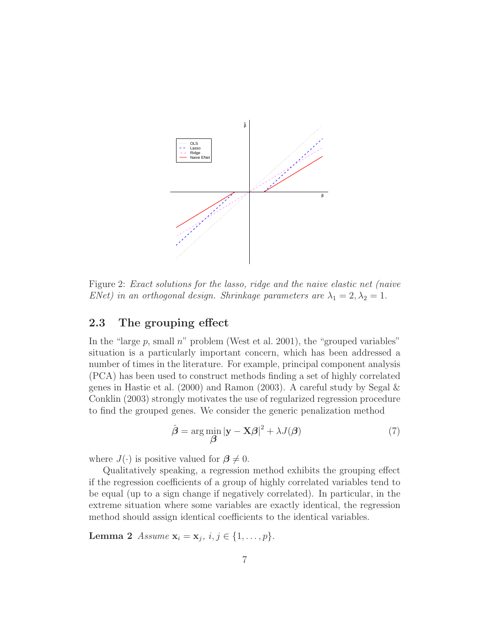

Figure 2: Exact solutions for the lasso, ridge and the naive elastic net (naive ENet) in an orthogonal design. Shrinkage parameters are  $\lambda_1 = 2, \lambda_2 = 1$ .

### **2.3 The grouping effect**

In the "large  $p$ , small  $n$ " problem (West et al. 2001), the "grouped variables" situation is a particularly important concern, which has been addressed a number of times in the literature. For example, principal component analysis (PCA) has been used to construct methods finding a set of highly correlated genes in Hastie et al. (2000) and Ramon (2003). A careful study by Segal & Conklin (2003) strongly motivates the use of regularized regression procedure to find the grouped genes. We consider the generic penalization method

$$
\hat{\boldsymbol{\beta}} = \arg\min_{\boldsymbol{\beta}} |\mathbf{y} - \mathbf{X}\boldsymbol{\beta}|^2 + \lambda J(\boldsymbol{\beta})
$$
\n(7)

where  $J(\cdot)$  is positive valued for  $\beta \neq 0$ .

Qualitatively speaking, a regression method exhibits the grouping effect if the regression coefficients of a group of highly correlated variables tend to be equal (up to a sign change if negatively correlated). In particular, in the extreme situation where some variables are exactly identical, the regression method should assign identical coefficients to the identical variables.

**Lemma 2** Assume  $x_i = x_j, i, j \in \{1, ..., p\}.$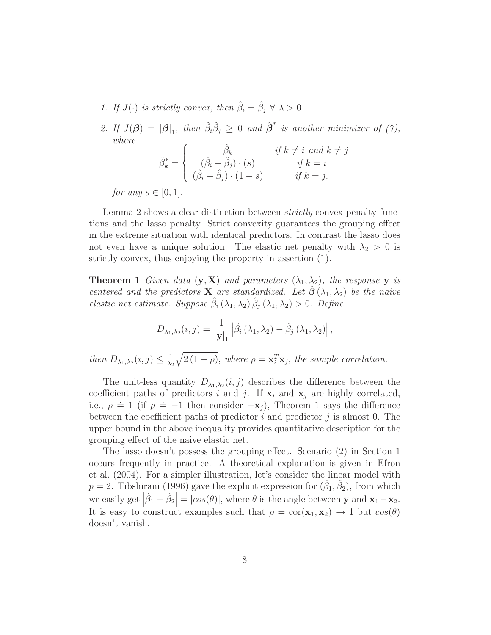- 1. If  $J(\cdot)$  is strictly convex, then  $\hat{\beta}_i = \hat{\beta}_j \ \forall \ \lambda > 0$ .
- 2. If  $J(\boldsymbol{\beta}) = |\boldsymbol{\beta}|_1$ , then  $\hat{\beta}_i \hat{\beta}_j \geq 0$  and  $\hat{\boldsymbol{\beta}}^*$  is another minimizer of (7), where  $\lambda$

$$
\hat{\beta}_k^* = \begin{cases}\n\hat{\beta}_k & \text{if } k \neq i \text{ and } k \neq j \\
(\hat{\beta}_i + \hat{\beta}_j) \cdot (s) & \text{if } k = i \\
(\hat{\beta}_i + \hat{\beta}_j) \cdot (1 - s) & \text{if } k = j.\n\end{cases}
$$

for any  $s \in [0,1]$ .

Lemma 2 shows a clear distinction between *strictly* convex penalty functions and the lasso penalty. Strict convexity guarantees the grouping effect in the extreme situation with identical predictors. In contrast the lasso does not even have a unique solution. The elastic net penalty with  $\lambda_2 > 0$  is strictly convex, thus enjoying the property in assertion (1).

**Theorem 1** Given data  $(\mathbf{y}, \mathbf{X})$  and parameters  $(\lambda_1, \lambda_2)$ , the response **y** is centered and the predictors **X** are standardized. Let  $\hat{\boldsymbol{\beta}}(\lambda_1, \lambda_2)$  be the naive elastic net estimate. Suppose  $\hat{\beta}_i(\lambda_1, \lambda_2)$   $\hat{\beta}_j(\lambda_1, \lambda_2) > 0$ . Define

$$
D_{\lambda_1,\lambda_2}(i,j) = \frac{1}{|\mathbf{y}|_1} \left| \hat{\beta}_i \left( \lambda_1, \lambda_2 \right) - \hat{\beta}_j \left( \lambda_1, \lambda_2 \right) \right|,
$$

then  $D_{\lambda_1,\lambda_2}(i,j) \leq \frac{1}{\lambda_2}$  $\sqrt{2(1-\rho)}$ , where  $\rho = \mathbf{x}_i^T \mathbf{x}_j$ , the sample correlation.

The unit-less quantity  $D_{\lambda_1,\lambda_2}(i,j)$  describes the difference between the coefficient paths of predictors i and j. If  $x_i$  and  $x_j$  are highly correlated, i.e.,  $\rho \doteq 1$  (if  $\rho \doteq -1$  then consider  $-\mathbf{x}_j$ ), Theorem 1 says the difference between the coefficient paths of predictor i and predictor j is almost 0. The upper bound in the above inequality provides quantitative description for the grouping effect of the naive elastic net.

The lasso doesn't possess the grouping effect. Scenario (2) in Section 1 occurs frequently in practice. A theoretical explanation is given in Efron et al. (2004). For a simpler illustration, let's consider the linear model with  $p = 2$ . Tibshirani (1996) gave the explicit expression for  $(\hat{\beta}_1, \hat{\beta}_2)$ , from which we easily get  $\left|\hat{\beta}_1 - \hat{\beta}_2\right| = |cos(\theta)|$ , where  $\theta$  is the angle between **y** and **x**<sub>1</sub> − **x**<sub>2</sub>. It is easy to construct examples such that  $\rho = \text{cor}(\mathbf{x}_1, \mathbf{x}_2) \rightarrow 1$  but  $\cos(\theta)$ doesn't vanish.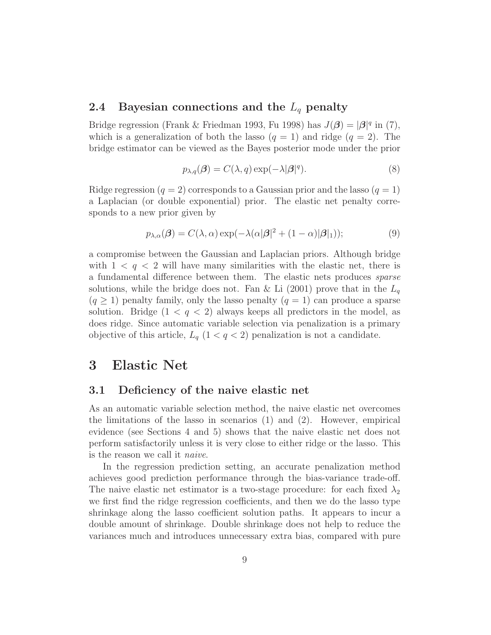### **2.4 Bayesian connections and the** L<sup>q</sup> **penalty**

Bridge regression (Frank & Friedman 1993, Fu 1998) has  $J(\beta) = |\beta|^q$  in (7), which is a generalization of both the lasso  $(q = 1)$  and ridge  $(q = 2)$ . The bridge estimator can be viewed as the Bayes posterior mode under the prior

$$
p_{\lambda,q}(\boldsymbol{\beta}) = C(\lambda, q) \exp(-\lambda |\boldsymbol{\beta}|^{q}). \tag{8}
$$

Ridge regression  $(q = 2)$  corresponds to a Gaussian prior and the lasso  $(q = 1)$ a Laplacian (or double exponential) prior. The elastic net penalty corresponds to a new prior given by

$$
p_{\lambda,\alpha}(\boldsymbol{\beta}) = C(\lambda,\alpha) \exp(-\lambda(\alpha|\boldsymbol{\beta}|^2 + (1-\alpha)|\boldsymbol{\beta}|_1));
$$
\n(9)

a compromise between the Gaussian and Laplacian priors. Although bridge with  $1 < q < 2$  will have many similarities with the elastic net, there is a fundamental difference between them. The elastic nets produces sparse solutions, while the bridge does not. Fan & Li (2001) prove that in the  $L_q$  $(q \geq 1)$  penalty family, only the lasso penalty  $(q = 1)$  can produce a sparse solution. Bridge  $(1 < q < 2)$  always keeps all predictors in the model, as does ridge. Since automatic variable selection via penalization is a primary objective of this article,  $L_q$  (1 < q < 2) penalization is not a candidate.

### **3 Elastic Net**

#### **3.1 Deficiency of the naive elastic net**

As an automatic variable selection method, the naive elastic net overcomes the limitations of the lasso in scenarios (1) and (2). However, empirical evidence (see Sections 4 and 5) shows that the naive elastic net does not perform satisfactorily unless it is very close to either ridge or the lasso. This is the reason we call it naive.

In the regression prediction setting, an accurate penalization method achieves good prediction performance through the bias-variance trade-off. The naive elastic net estimator is a two-stage procedure: for each fixed  $\lambda_2$ we first find the ridge regression coefficients, and then we do the lasso type shrinkage along the lasso coefficient solution paths. It appears to incur a double amount of shrinkage. Double shrinkage does not help to reduce the variances much and introduces unnecessary extra bias, compared with pure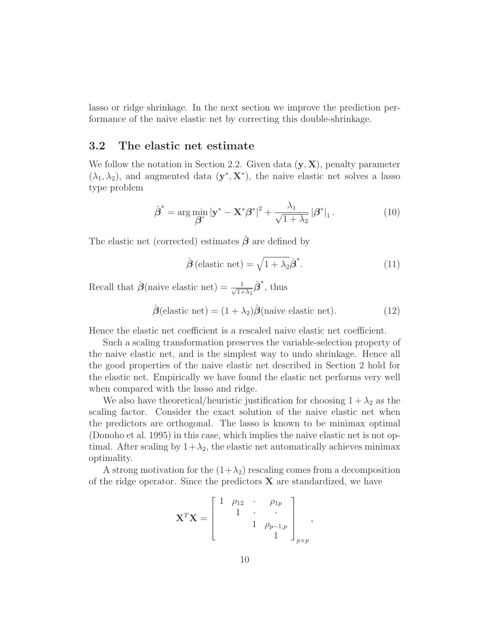lasso or ridge shrinkage. In the next section we improve the prediction performance of the naive elastic net by correcting this double-shrinkage.

#### **3.2 The elastic net estimate**

We follow the notation in Section 2.2. Given data (**y**, **X**), penalty parameter  $(\lambda_1, \lambda_2)$ , and augmented data  $(\mathbf{y}^*, \mathbf{X}^*)$ , the naive elastic net solves a lasso type problem

$$
\hat{\boldsymbol{\beta}}^* = \arg\min_{\boldsymbol{\beta}^*} |\mathbf{y}^* - \mathbf{X}^* \boldsymbol{\beta}^*|^2 + \frac{\lambda_1}{\sqrt{1 + \lambda_2}} |\boldsymbol{\beta}^*|_1. \tag{10}
$$

The elastic net (corrected) estimates *β*ˆ are defined by

$$
\hat{\boldsymbol{\beta}}\left(\text{elastic net}\right) = \sqrt{1 + \lambda_2} \hat{\boldsymbol{\beta}}^*.\tag{11}
$$

Recall that  $\hat{\boldsymbol{\beta}}$ (naive elastic net) =  $\frac{1}{\sqrt{1}}$  $\frac{1}{1+\lambda_2}\hat{\boldsymbol{\beta}}^*$ , thus

$$
\hat{\boldsymbol{\beta}}(\text{elastic net}) = (1 + \lambda_2)\hat{\boldsymbol{\beta}}(\text{naive elastic net}).\tag{12}
$$

Hence the elastic net coefficient is a rescaled naive elastic net coefficient.

Such a scaling transformation preserves the variable-selection property of the naive elastic net, and is the simplest way to undo shrinkage. Hence all the good properties of the naive elastic net described in Section 2 hold for the elastic net. Empirically we have found the elastic net performs very well when compared with the lasso and ridge.

We also have theoretical/heuristic justification for choosing  $1 + \lambda_2$  as the scaling factor. Consider the exact solution of the naive elastic net when the predictors are orthogonal. The lasso is known to be minimax optimal (Donoho et al. 1995) in this case, which implies the naive elastic net is not optimal. After scaling by  $1+\lambda_2$ , the elastic net automatically achieves minimax optimality.

A strong motivation for the  $(1+\lambda_2)$  rescaling comes from a decomposition of the ridge operator. Since the predictors **X** are standardized, we have

$$
\mathbf{X}^T \mathbf{X} = \begin{bmatrix} 1 & \rho_{12} & \cdot & \rho_{1p} \\ & 1 & \cdot & \cdot \\ & & 1 & \rho_{p-1,p} \\ & & & 1 \end{bmatrix}_{p \times p},
$$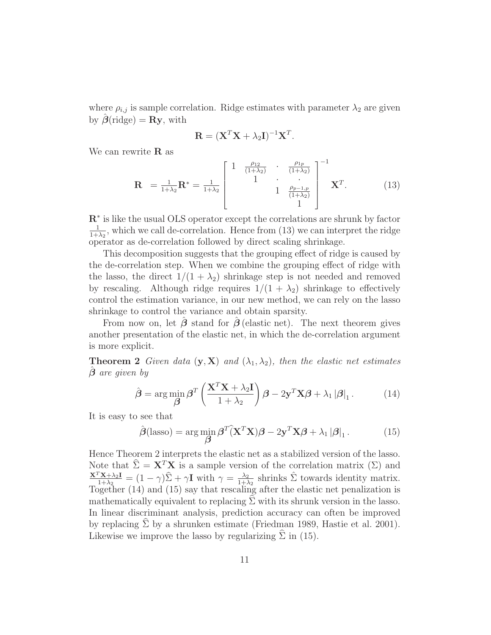where  $\rho_{i,j}$  is sample correlation. Ridge estimates with parameter  $\lambda_2$  are given by  $\beta$ (ridge) = **Ry**, with

$$
\mathbf{R} = (\mathbf{X}^T \mathbf{X} + \lambda_2 \mathbf{I})^{-1} \mathbf{X}^T.
$$

We can rewrite **R** as

$$
\mathbf{R} = \frac{1}{1+\lambda_2} \mathbf{R}^* = \frac{1}{1+\lambda_2} \begin{bmatrix} 1 & \frac{\rho_{12}}{(1+\lambda_2)} & \frac{\rho_{1p}}{(1+\lambda_2)} \\ 1 & \ddots & \ddots \\ 1 & \frac{\rho_{p-1,p}}{(1+\lambda_2)} \\ 1 & 1 \end{bmatrix}^{-1} \mathbf{X}^T.
$$
(13)

**R**<sup>∗</sup> is like the usual OLS operator except the correlations are shrunk by factor  $\frac{1}{1+\lambda_2}$ , which we call de-correlation. Hence from (13) we can interpret the ridge operator as de-correlation followed by direct scaling shrinkage.

This decomposition suggests that the grouping effect of ridge is caused by the de-correlation step. When we combine the grouping effect of ridge with the lasso, the direct  $1/(1 + \lambda_2)$  shrinkage step is not needed and removed by rescaling. Although ridge requires  $1/(1 + \lambda_2)$  shrinkage to effectively control the estimation variance, in our new method, we can rely on the lasso shrinkage to control the variance and obtain sparsity.

From now on, let  $\hat{\beta}$  stand for  $\hat{\beta}$  (elastic net). The next theorem gives another presentation of the elastic net, in which the de-correlation argument is more explicit.

**Theorem 2** Given data  $(\mathbf{y}, \mathbf{X})$  and  $(\lambda_1, \lambda_2)$ , then the elastic net estimates *β*ˆ are given by

$$
\hat{\boldsymbol{\beta}} = \arg\min_{\boldsymbol{\beta}} \boldsymbol{\beta}^T \left( \frac{\mathbf{X}^T \mathbf{X} + \lambda_2 \mathbf{I}}{1 + \lambda_2} \right) \boldsymbol{\beta} - 2 \mathbf{y}^T \mathbf{X} \boldsymbol{\beta} + \lambda_1 |\boldsymbol{\beta}|_1. \tag{14}
$$

It is easy to see that

$$
\hat{\boldsymbol{\beta}}(\text{lasso}) = \arg\min_{\boldsymbol{\beta}} \boldsymbol{\beta}^T (\mathbf{X}^T \mathbf{X}) \boldsymbol{\beta} - 2\mathbf{y}^T \mathbf{X} \boldsymbol{\beta} + \lambda_1 |\boldsymbol{\beta}|_1. \tag{15}
$$

Hence Theorem 2 interprets the elastic net as a stabilized version of the lasso. Note that  $\hat{\Sigma} = \mathbf{X}^T \mathbf{X}$  is a sample version of the correlation matrix  $(\Sigma)$  and  $\frac{\mathbf{X}^T \mathbf{X} + \lambda_2 \mathbf{I}}{1 + \lambda_2} = (1 - \gamma) \hat{\Sigma} + \gamma \mathbf{I}$  with  $\gamma = \frac{\lambda_2}{1 + \lambda_2}$  shrinks  $\hat{\Sigma}$  towards identity matrix. Together (14) and (15) say that rescaling after the elastic net penalization is mathematically equivalent to replacing  $\Sigma$  with its shrunk version in the lasso. In linear discriminant analysis, prediction accuracy can often be improved by replacing  $\Sigma$  by a shrunken estimate (Friedman 1989, Hastie et al. 2001). Likewise we improve the lasso by regularizing  $\Sigma$  in (15).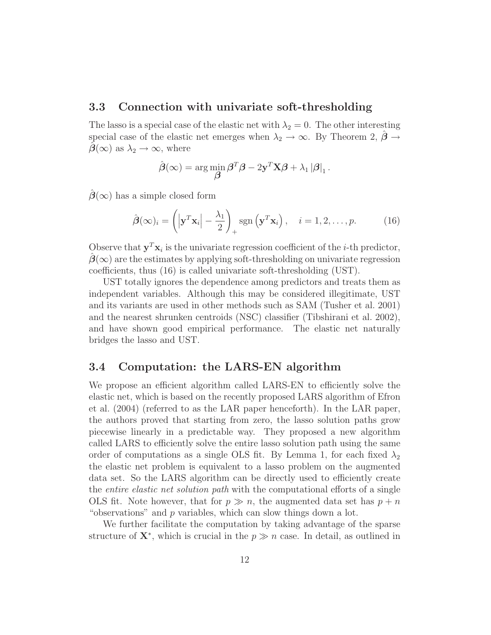#### **3.3 Connection with univariate soft-thresholding**

The lasso is a special case of the elastic net with  $\lambda_2 = 0$ . The other interesting special case of the elastic net emerges when  $\lambda_2 \to \infty$ . By Theorem 2,  $\beta \to$  $\beta(\infty)$  as  $\lambda_2 \rightarrow \infty$ , where

$$
\hat{\boldsymbol{\beta}}(\infty) = \arg\min_{\boldsymbol{\beta}} \boldsymbol{\beta}^T \boldsymbol{\beta} - 2\mathbf{y}^T \mathbf{X} \boldsymbol{\beta} + \lambda_1 |\boldsymbol{\beta}|_1.
$$

 $\hat{\beta}(\infty)$  has a simple closed form

$$
\hat{\boldsymbol{\beta}}(\infty)_i = \left( \left| \mathbf{y}^T \mathbf{x}_i \right| - \frac{\lambda_1}{2} \right)_+ \text{sgn} \left( \mathbf{y}^T \mathbf{x}_i \right), \quad i = 1, 2, \dots, p. \tag{16}
$$

Observe that  $y^T x_i$  is the univariate regression coefficient of the *i*-th predictor,  $\beta(\infty)$  are the estimates by applying soft-thresholding on univariate regression coefficients, thus (16) is called univariate soft-thresholding (UST).

UST totally ignores the dependence among predictors and treats them as independent variables. Although this may be considered illegitimate, UST and its variants are used in other methods such as SAM (Tusher et al. 2001) and the nearest shrunken centroids (NSC) classifier (Tibshirani et al. 2002), and have shown good empirical performance. The elastic net naturally bridges the lasso and UST.

#### **3.4 Computation: the LARS-EN algorithm**

We propose an efficient algorithm called LARS-EN to efficiently solve the elastic net, which is based on the recently proposed LARS algorithm of Efron et al. (2004) (referred to as the LAR paper henceforth). In the LAR paper, the authors proved that starting from zero, the lasso solution paths grow piecewise linearly in a predictable way. They proposed a new algorithm called LARS to efficiently solve the entire lasso solution path using the same order of computations as a single OLS fit. By Lemma 1, for each fixed  $\lambda_2$ the elastic net problem is equivalent to a lasso problem on the augmented data set. So the LARS algorithm can be directly used to efficiently create the entire elastic net solution path with the computational efforts of a single OLS fit. Note however, that for  $p \gg n$ , the augmented data set has  $p + n$ "observations" and p variables, which can slow things down a lot.

We further facilitate the computation by taking advantage of the sparse structure of  $X^*$ , which is crucial in the  $p \gg n$  case. In detail, as outlined in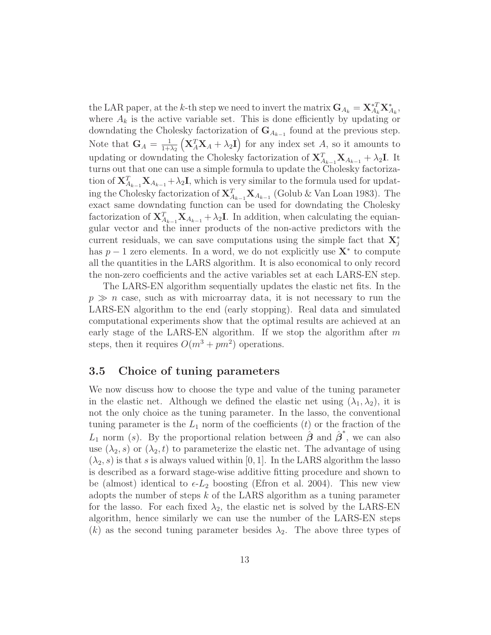the LAR paper, at the k-th step we need to invert the matrix  $G_{A_k} = \mathbf{X}_{A_k}^{*T} \mathbf{X}_{A_k}^{*}$ , where  $A_k$  is the active variable set. This is done efficiently by updating or downdating the Cholesky factorization of  $\mathbf{G}_{A_{k-1}}$  found at the previous step. Note that  $\mathbf{G}_A = \frac{1}{1+\lambda_2}$  $(X_A^T X_A + \lambda_2 I)$  for any index set A, so it amounts to updating or downdating the Cholesky factorization of  $X_{A_{k-1}}^T X_{A_{k-1}} + \lambda_2 I$ . It turns out that one can use a simple formula to update the Cholesky factorization of  $X_{A_{k-1}}^T X_{A_{k-1}} + \lambda_2 I$ , which is very similar to the formula used for updating the Cholesky factorization of  $X_{A_{k-1}}^T X_{A_{k-1}}$  (Golub & Van Loan 1983). The exact same downdating function can be used for downdating the Cholesky factorization of  $X_{A_{k-1}}^T X_{A_{k-1}} + \lambda_2 I$ . In addition, when calculating the equiangular vector and the inner products of the non-active predictors with the current residuals, we can save computations using the simple fact that  $\mathbf{X}_{j}^{*}$ has p − 1 zero elements. In a word, we do not explicitly use **X**<sup>∗</sup> to compute all the quantities in the LARS algorithm. It is also economical to only record the non-zero coefficients and the active variables set at each LARS-EN step.

The LARS-EN algorithm sequentially updates the elastic net fits. In the  $p \gg n$  case, such as with microarray data, it is not necessary to run the LARS-EN algorithm to the end (early stopping). Real data and simulated computational experiments show that the optimal results are achieved at an early stage of the LARS-EN algorithm. If we stop the algorithm after  $m$ steps, then it requires  $O(m^3 + pm^2)$  operations.

#### **3.5 Choice of tuning parameters**

We now discuss how to choose the type and value of the tuning parameter in the elastic net. Although we defined the elastic net using  $(\lambda_1, \lambda_2)$ , it is not the only choice as the tuning parameter. In the lasso, the conventional tuning parameter is the  $L_1$  norm of the coefficients  $(t)$  or the fraction of the  $L_1$  norm (s). By the proportional relation between  $\hat{\boldsymbol{\beta}}$  and  $\hat{\boldsymbol{\beta}}^*$ , we can also use  $(\lambda_2, s)$  or  $(\lambda_2, t)$  to parameterize the elastic net. The advantage of using  $(\lambda_2, s)$  is that s is always valued within [0, 1]. In the LARS algorithm the lasso is described as a forward stage-wise additive fitting procedure and shown to be (almost) identical to  $\epsilon$ - $L_2$  boosting (Efron et al. 2004). This new view adopts the number of steps  $k$  of the LARS algorithm as a tuning parameter for the lasso. For each fixed  $\lambda_2$ , the elastic net is solved by the LARS-EN algorithm, hence similarly we can use the number of the LARS-EN steps (k) as the second tuning parameter besides  $\lambda_2$ . The above three types of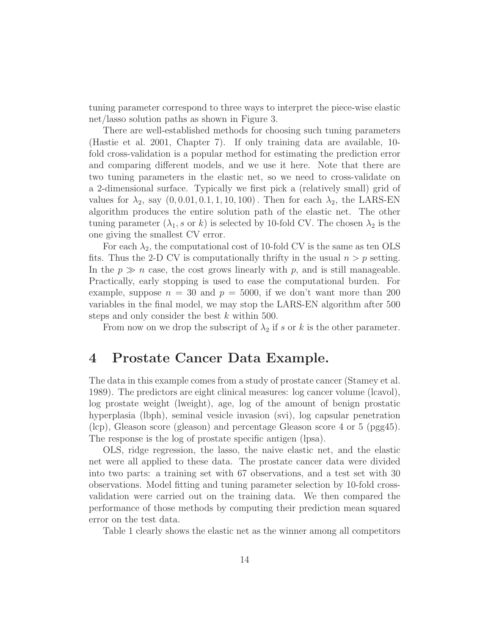tuning parameter correspond to three ways to interpret the piece-wise elastic net/lasso solution paths as shown in Figure 3.

There are well-established methods for choosing such tuning parameters (Hastie et al. 2001, Chapter 7). If only training data are available, 10 fold cross-validation is a popular method for estimating the prediction error and comparing different models, and we use it here. Note that there are two tuning parameters in the elastic net, so we need to cross-validate on a 2-dimensional surface. Typically we first pick a (relatively small) grid of values for  $\lambda_2$ , say  $(0, 0.01, 0.1, 1, 10, 100)$ . Then for each  $\lambda_2$ , the LARS-EN algorithm produces the entire solution path of the elastic net. The other tuning parameter  $(\lambda_1, s \text{ or } k)$  is selected by 10-fold CV. The chosen  $\lambda_2$  is the one giving the smallest CV error.

For each  $\lambda_2$ , the computational cost of 10-fold CV is the same as ten OLS fits. Thus the 2-D CV is computationally thrifty in the usual  $n>p$  setting. In the  $p \gg n$  case, the cost grows linearly with p, and is still manageable. Practically, early stopping is used to ease the computational burden. For example, suppose  $n = 30$  and  $p = 5000$ , if we don't want more than 200 variables in the final model, we may stop the LARS-EN algorithm after 500 steps and only consider the best k within 500.

From now on we drop the subscript of  $\lambda_2$  if s or k is the other parameter.

### **4 Prostate Cancer Data Example.**

The data in this example comes from a study of prostate cancer (Stamey et al. 1989). The predictors are eight clinical measures: log cancer volume (lcavol), log prostate weight (lweight), age, log of the amount of benign prostatic hyperplasia (lbph), seminal vesicle invasion (svi), log capsular penetration (lcp), Gleason score (gleason) and percentage Gleason score 4 or 5 (pgg45). The response is the log of prostate specific antigen (lpsa).

OLS, ridge regression, the lasso, the naive elastic net, and the elastic net were all applied to these data. The prostate cancer data were divided into two parts: a training set with 67 observations, and a test set with 30 observations. Model fitting and tuning parameter selection by 10-fold crossvalidation were carried out on the training data. We then compared the performance of those methods by computing their prediction mean squared error on the test data.

Table 1 clearly shows the elastic net as the winner among all competitors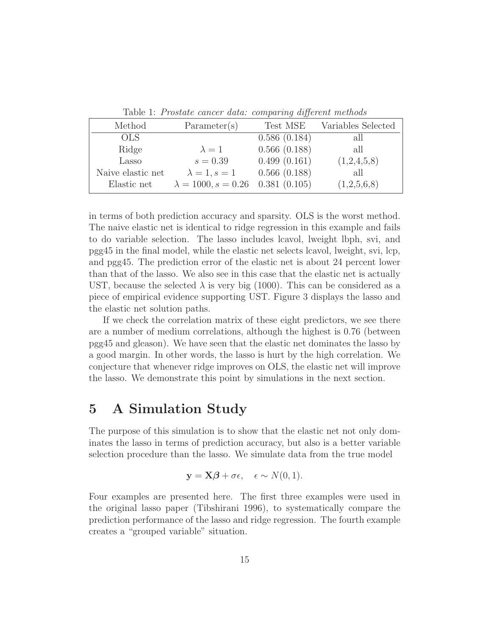Table 1: Prostate cancer data: comparing different methods

| Method            | Parameter(s)                             | Test MSE     | Variables Selected |
|-------------------|------------------------------------------|--------------|--------------------|
| OLS.              |                                          | 0.586(0.184) | all                |
| Ridge             | $\lambda = 1$                            | 0.566(0.188) | all                |
| Lasso             | $s = 0.39$                               | 0.499(0.161) | (1,2,4,5,8)        |
| Naive elastic net | $\lambda = 1, s = 1$                     | 0.566(0.188) | all                |
| Elastic net       | $\lambda = 1000, s = 0.26$ 0.381 (0.105) |              | (1,2,5,6,8)        |

in terms of both prediction accuracy and sparsity. OLS is the worst method. The naive elastic net is identical to ridge regression in this example and fails to do variable selection. The lasso includes lcavol, lweight lbph, svi, and pgg45 in the final model, while the elastic net selects lcavol, lweight, svi, lcp, and pgg45. The prediction error of the elastic net is about 24 percent lower than that of the lasso. We also see in this case that the elastic net is actually UST, because the selected  $\lambda$  is very big (1000). This can be considered as a piece of empirical evidence supporting UST. Figure 3 displays the lasso and the elastic net solution paths.

If we check the correlation matrix of these eight predictors, we see there are a number of medium correlations, although the highest is 0.76 (between pgg45 and gleason). We have seen that the elastic net dominates the lasso by a good margin. In other words, the lasso is hurt by the high correlation. We conjecture that whenever ridge improves on OLS, the elastic net will improve the lasso. We demonstrate this point by simulations in the next section.

### **5 A Simulation Study**

The purpose of this simulation is to show that the elastic net not only dominates the lasso in terms of prediction accuracy, but also is a better variable selection procedure than the lasso. We simulate data from the true model

$$
\mathbf{y} = \mathbf{X}\boldsymbol{\beta} + \sigma \epsilon, \quad \epsilon \sim N(0, 1).
$$

Four examples are presented here. The first three examples were used in the original lasso paper (Tibshirani 1996), to systematically compare the prediction performance of the lasso and ridge regression. The fourth example creates a "grouped variable" situation.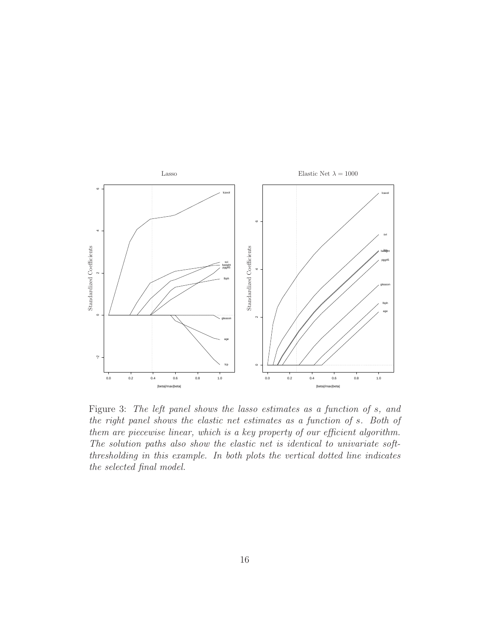

Figure 3: The left panel shows the lasso estimates as a function of s, and the right panel shows the elastic net estimates as a function of s. Both of them are piecewise linear, which is a key property of our efficient algorithm. The solution paths also show the elastic net is identical to univariate softthresholding in this example. In both plots the vertical dotted line indicates the selected final model.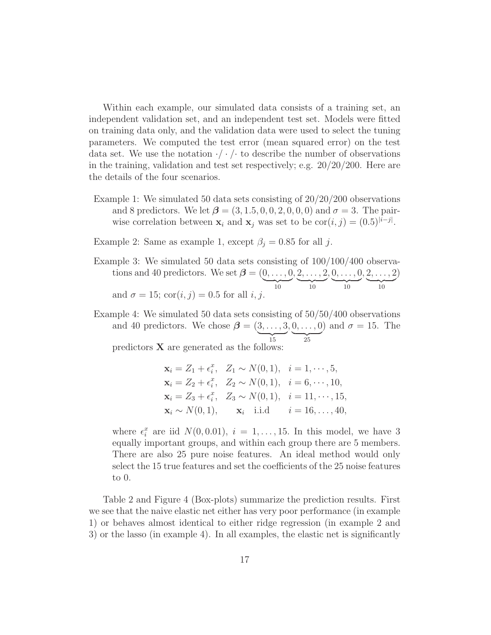Within each example, our simulated data consists of a training set, an independent validation set, and an independent test set. Models were fitted on training data only, and the validation data were used to select the tuning parameters. We computed the test error (mean squared error) on the test data set. We use the notation  $\cdot/\cdot$  / $\cdot$  to describe the number of observations in the training, validation and test set respectively; e.g. 20/20/200. Here are the details of the four scenarios.

- Example 1: We simulated 50 data sets consisting of  $20/20/200$  observations and 8 predictors. We let  $\beta = (3, 1.5, 0, 0, 2, 0, 0, 0)$  and  $\sigma = 3$ . The pairwise correlation between  $\mathbf{x}_i$  and  $\mathbf{x}_j$  was set to be  $\text{cor}(i, j) = (0.5)^{|i-j|}$ .
- Example 2: Same as example 1, except  $\beta_i = 0.85$  for all j.
- Example 3: We simulated 50 data sets consisting of 100/100/400 observations and 40 predictors. We set  $\boldsymbol{\beta} = (0, \dots, 0)$  $\overline{10}$  $, 2, \ldots, 2$  $\underbrace{10}$  $, 0, \ldots, 0$  $\underbrace{10}$  $, 2, \ldots, 2$  $\overline{10}$ ) and  $\sigma = 15$ ; cor $(i, j) = 0.5$  for all i, j.
- Example 4: We simulated 50 data sets consisting of 50/50/400 observations and 40 predictors. We chose  $\beta = (3, \ldots, 3)$  $\overline{15}$  $, 0, \ldots, 0$  $\frac{1}{25}$ ) and  $\sigma = 15$ . The predictors  $\bf{X}$  are generated as the follows

$$
\mathbf{x}_{i} = Z_{1} + \epsilon_{i}^{x}, \quad Z_{1} \sim N(0, 1), \quad i = 1, \cdots, 5,
$$
  
\n
$$
\mathbf{x}_{i} = Z_{2} + \epsilon_{i}^{x}, \quad Z_{2} \sim N(0, 1), \quad i = 6, \cdots, 10,
$$
  
\n
$$
\mathbf{x}_{i} = Z_{3} + \epsilon_{i}^{x}, \quad Z_{3} \sim N(0, 1), \quad i = 11, \cdots, 15,
$$
  
\n
$$
\mathbf{x}_{i} \sim N(0, 1), \quad \mathbf{x}_{i} \quad \text{i.i.d} \quad i = 16, \ldots, 40,
$$

where  $\epsilon_i^x$  are iid  $N(0, 0.01)$ ,  $i = 1, \ldots, 15$ . In this model, we have 3 equally important groups, and within each group there are 5 members. There are also 25 pure noise features. An ideal method would only select the 15 true features and set the coefficients of the 25 noise features to 0.

Table 2 and Figure 4 (Box-plots) summarize the prediction results. First we see that the naive elastic net either has very poor performance (in example 1) or behaves almost identical to either ridge regression (in example 2 and 3) or the lasso (in example 4). In all examples, the elastic net is significantly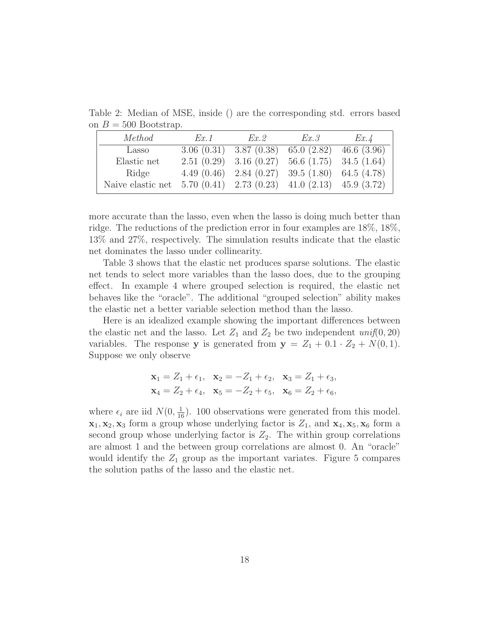Table 2: Median of MSE, inside () are the corresponding std. errors based on  $B = 500$  Bootstrap.

| Method                                                            | Ex. 1      | Ex. 2                                | Ex.3                     | Ex.4 |
|-------------------------------------------------------------------|------------|--------------------------------------|--------------------------|------|
| Lasso                                                             |            | $3.06(0.31)$ $3.87(0.38)$            | $65.0(2.82)$ 46.6 (3.96) |      |
| Elastic net                                                       | 2.51(0.29) | $3.16(0.27)$ 56.6 (1.75) 34.5 (1.64) |                          |      |
| Ridge                                                             | 4.49(0.46) | 2.84(0.27)                           | $39.5(1.80)$ 64.5 (4.78) |      |
| Naive elastic net 5.70 (0.41) 2.73 (0.23) 41.0 (2.13) 45.9 (3.72) |            |                                      |                          |      |

more accurate than the lasso, even when the lasso is doing much better than ridge. The reductions of the prediction error in four examples are 18%, 18%, 13% and 27%, respectively. The simulation results indicate that the elastic net dominates the lasso under collinearity.

Table 3 shows that the elastic net produces sparse solutions. The elastic net tends to select more variables than the lasso does, due to the grouping effect. In example 4 where grouped selection is required, the elastic net behaves like the "oracle". The additional "grouped selection" ability makes the elastic net a better variable selection method than the lasso.

Here is an idealized example showing the important differences between the elastic net and the lasso. Let  $Z_1$  and  $Z_2$  be two independent  $\text{unif}(0, 20)$ variables. The response **y** is generated from  $y = Z_1 + 0.1 \cdot Z_2 + N(0, 1)$ . Suppose we only observe

$$
\mathbf{x}_1 = Z_1 + \epsilon_1, \quad\n \mathbf{x}_2 = -Z_1 + \epsilon_2, \quad\n \mathbf{x}_3 = Z_1 + \epsilon_3,
$$
\n  
\n $\mathbf{x}_4 = Z_2 + \epsilon_4, \quad\n \mathbf{x}_5 = -Z_2 + \epsilon_5, \quad\n \mathbf{x}_6 = Z_2 + \epsilon_6,$ 

where  $\epsilon_i$  are iid  $N(0, \frac{1}{16})$ . 100 observations were generated from this model.  $\mathbf{x}_1, \mathbf{x}_2, \mathbf{x}_3$  form a group whose underlying factor is  $Z_1$ , and  $\mathbf{x}_4, \mathbf{x}_5, \mathbf{x}_6$  form a second group whose underlying factor is  $Z_2$ . The within group correlations are almost 1 and the between group correlations are almost 0. An "oracle" would identify the  $Z_1$  group as the important variates. Figure 5 compares the solution paths of the lasso and the elastic net.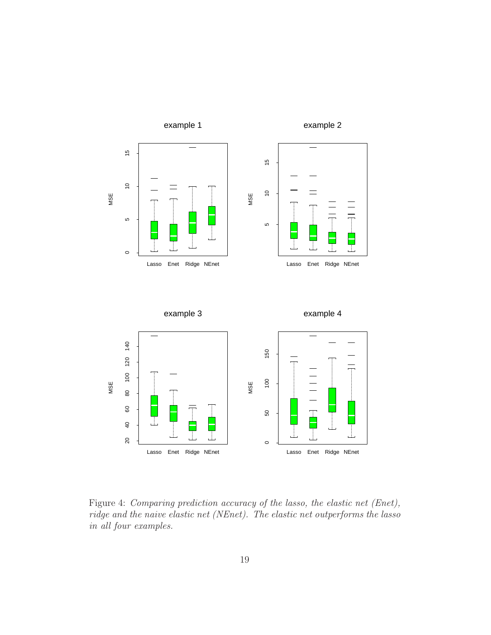

Figure 4: Comparing prediction accuracy of the lasso, the elastic net (Enet), ridge and the naive elastic net (NEnet). The elastic net outperforms the lasso in all four examples.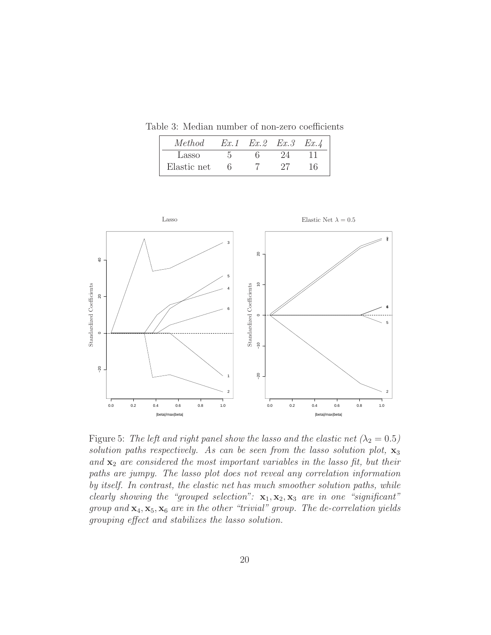Table 3: Median number of non-zero coefficients

| Method      | Ex.1 | $Ex.2$ $Ex.3$ $Ex.4$ |    |
|-------------|------|----------------------|----|
| Lasso       |      |                      |    |
| Elastic net |      |                      | 16 |



Figure 5: The left and right panel show the lasso and the elastic net  $(\lambda_2 = 0.5)$ solution paths respectively. As can be seen from the lasso solution plot, **x**<sup>3</sup> and  $\mathbf{x}_2$  are considered the most important variables in the lasso fit, but their paths are jumpy. The lasso plot does not reveal any correlation information by itself. In contrast, the elastic net has much smoother solution paths, while clearly showing the "grouped selection":  $\mathbf{x}_1, \mathbf{x}_2, \mathbf{x}_3$  are in one "significant" group and  $\mathbf{x}_4, \mathbf{x}_5, \mathbf{x}_6$  are in the other "trivial" group. The de-correlation yields grouping effect and stabilizes the lasso solution.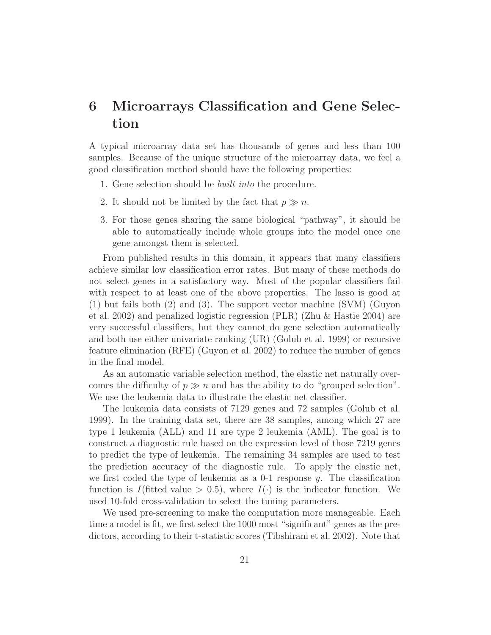# **6 Microarrays Classification and Gene Selection**

A typical microarray data set has thousands of genes and less than 100 samples. Because of the unique structure of the microarray data, we feel a good classification method should have the following properties:

- 1. Gene selection should be built into the procedure.
- 2. It should not be limited by the fact that  $p \gg n$ .
- 3. For those genes sharing the same biological "pathway", it should be able to automatically include whole groups into the model once one gene amongst them is selected.

From published results in this domain, it appears that many classifiers achieve similar low classification error rates. But many of these methods do not select genes in a satisfactory way. Most of the popular classifiers fail with respect to at least one of the above properties. The lasso is good at (1) but fails both (2) and (3). The support vector machine (SVM) (Guyon et al. 2002) and penalized logistic regression (PLR) (Zhu & Hastie 2004) are very successful classifiers, but they cannot do gene selection automatically and both use either univariate ranking (UR) (Golub et al. 1999) or recursive feature elimination (RFE) (Guyon et al. 2002) to reduce the number of genes in the final model.

As an automatic variable selection method, the elastic net naturally overcomes the difficulty of  $p \gg n$  and has the ability to do "grouped selection". We use the leukemia data to illustrate the elastic net classifier.

The leukemia data consists of 7129 genes and 72 samples (Golub et al. 1999). In the training data set, there are 38 samples, among which 27 are type 1 leukemia (ALL) and 11 are type 2 leukemia (AML). The goal is to construct a diagnostic rule based on the expression level of those 7219 genes to predict the type of leukemia. The remaining 34 samples are used to test the prediction accuracy of the diagnostic rule. To apply the elastic net, we first coded the type of leukemia as a 0-1 response y. The classification function is I(fitted value  $> 0.5$ ), where  $I(\cdot)$  is the indicator function. We used 10-fold cross-validation to select the tuning parameters.

We used pre-screening to make the computation more manageable. Each time a model is fit, we first select the 1000 most "significant" genes as the predictors, according to their t-statistic scores (Tibshirani et al. 2002). Note that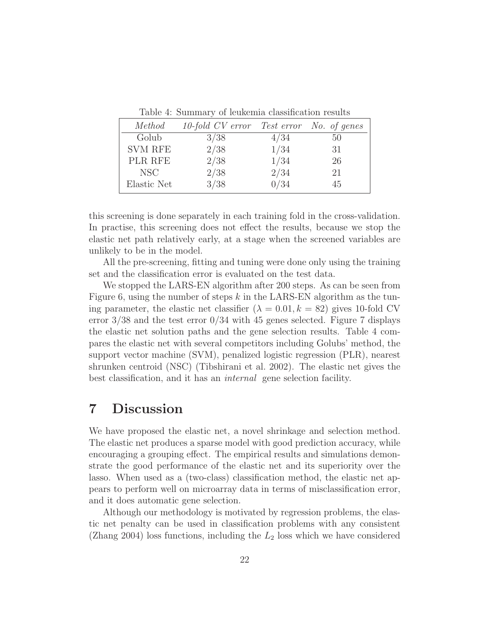Table 4: Summary of leukemia classification results

| Method           | 10-fold CV error Test error No. of genes |      |    |
|------------------|------------------------------------------|------|----|
| Golub            | 3/38                                     | 4/34 | 50 |
| <b>SVM RFE</b>   | 2/38                                     | 1/34 | 31 |
| PLR RFE          | 2/38                                     | 1/34 | 26 |
| NSC <sup>.</sup> | 2/38                                     | 2/34 | 21 |
| Elastic Net      | 3/38                                     | 0/34 | 45 |

this screening is done separately in each training fold in the cross-validation. In practise, this screening does not effect the results, because we stop the elastic net path relatively early, at a stage when the screened variables are unlikely to be in the model.

All the pre-screening, fitting and tuning were done only using the training set and the classification error is evaluated on the test data.

We stopped the LARS-EN algorithm after 200 steps. As can be seen from Figure 6, using the number of steps k in the LARS-EN algorithm as the tuning parameter, the elastic net classifier  $(\lambda = 0.01, k = 82)$  gives 10-fold CV error  $3/38$  and the test error  $0/34$  with 45 genes selected. Figure 7 displays the elastic net solution paths and the gene selection results. Table 4 compares the elastic net with several competitors including Golubs' method, the support vector machine (SVM), penalized logistic regression (PLR), nearest shrunken centroid (NSC) (Tibshirani et al. 2002). The elastic net gives the best classification, and it has an internal gene selection facility.

# **7 Discussion**

We have proposed the elastic net, a novel shrinkage and selection method. The elastic net produces a sparse model with good prediction accuracy, while encouraging a grouping effect. The empirical results and simulations demonstrate the good performance of the elastic net and its superiority over the lasso. When used as a (two-class) classification method, the elastic net appears to perform well on microarray data in terms of misclassification error, and it does automatic gene selection.

Although our methodology is motivated by regression problems, the elastic net penalty can be used in classification problems with any consistent (Zhang 2004) loss functions, including the  $L_2$  loss which we have considered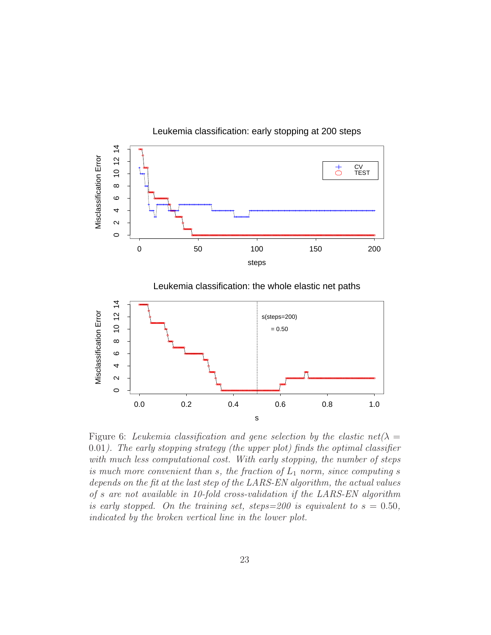

Leukemia classification: early stopping at 200 steps

Leukemia classification: the whole elastic net paths



Figure 6: Leukemia classification and gene selection by the elastic net  $(\lambda =$ 0.01). The early stopping strategy (the upper plot) finds the optimal classifier with much less computational cost. With early stopping, the number of steps is much more convenient than s, the fraction of  $L_1$  norm, since computing s depends on the fit at the last step of the LARS-EN algorithm, the actual values of s are not available in 10-fold cross-validation if the LARS-EN algorithm is early stopped. On the training set, steps=200 is equivalent to  $s = 0.50$ , indicated by the broken vertical line in the lower plot.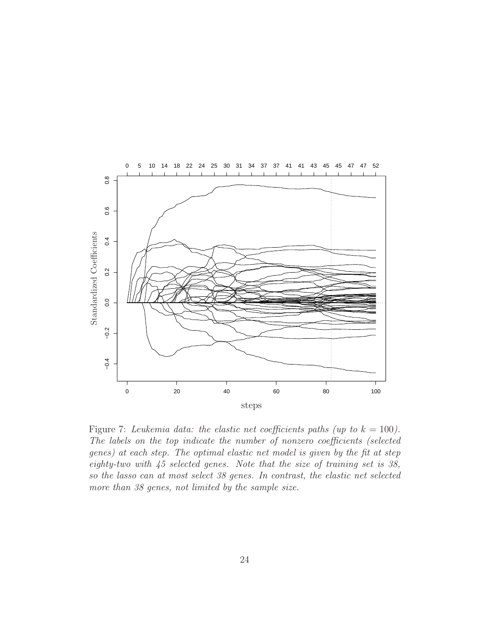

Figure 7: Leukemia data: the elastic net coefficients paths (up to  $k = 100$ ). The labels on the top indicate the number of nonzero coefficients (selected genes) at each step. The optimal elastic net model is given by the fit at step eighty-two with 45 selected genes. Note that the size of training set is 38, so the lasso can at most select 38 genes. In contrast, the elastic net selected more than 38 genes, not limited by the sample size.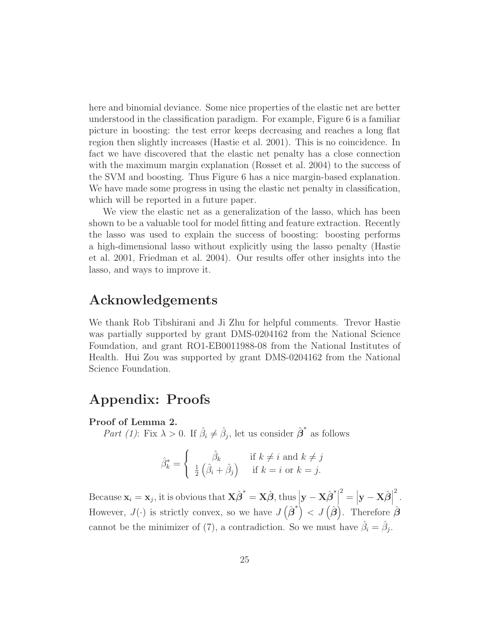here and binomial deviance. Some nice properties of the elastic net are better understood in the classification paradigm. For example, Figure 6 is a familiar picture in boosting: the test error keeps decreasing and reaches a long flat region then slightly increases (Hastie et al. 2001). This is no coincidence. In fact we have discovered that the elastic net penalty has a close connection with the maximum margin explanation (Rosset et al. 2004) to the success of the SVM and boosting. Thus Figure 6 has a nice margin-based explanation. We have made some progress in using the elastic net penalty in classification, which will be reported in a future paper.

We view the elastic net as a generalization of the lasso, which has been shown to be a valuable tool for model fitting and feature extraction. Recently the lasso was used to explain the success of boosting: boosting performs a high-dimensional lasso without explicitly using the lasso penalty (Hastie et al. 2001, Friedman et al. 2004). Our results offer other insights into the lasso, and ways to improve it.

# **Acknowledgements**

We thank Rob Tibshirani and Ji Zhu for helpful comments. Trevor Hastie was partially supported by grant DMS-0204162 from the National Science Foundation, and grant RO1-EB0011988-08 from the National Institutes of Health. Hui Zou was supported by grant DMS-0204162 from the National Science Foundation.

# **Appendix: Proofs**

#### **Proof of Lemma 2.**

Part (1): Fix  $\lambda > 0$ . If  $\hat{\beta}_i \neq \hat{\beta}_j$ , let us consider  $\hat{\boldsymbol{\beta}}^*$  as follows

$$
\hat{\beta}^*_k = \begin{cases} \hat{\beta}_k & \text{if } k \neq i \text{ and } k \neq j \\ \frac{1}{2} (\hat{\beta}_i + \hat{\beta}_j) & \text{if } k = i \text{ or } k = j. \end{cases}
$$

 $\text{Because } \mathbf{x}_i = \mathbf{x}_j \text{, it is obvious that } \mathbf{X} \hat{\boldsymbol{\beta}}^* = \mathbf{X} \hat{\boldsymbol{\beta}} \text{, thus } \left| \mathbf{y} - \mathbf{X} \hat{\boldsymbol{\beta}}^* \right|$  $\mathbf{z}^2 = \left| \mathbf{y} - \mathbf{X} \hat{\boldsymbol{\beta}} \right|$ 2 . However,  $J(\cdot)$  is strictly convex, so we have  $J(\hat{\boldsymbol{\beta}}^{*}) < J(\hat{\boldsymbol{\beta}})$ . Therefore  $\hat{\boldsymbol{\beta}}$ cannot be the minimizer of (7), a contradiction. So we must have  $\hat{\beta}_i = \hat{\beta}_j$ .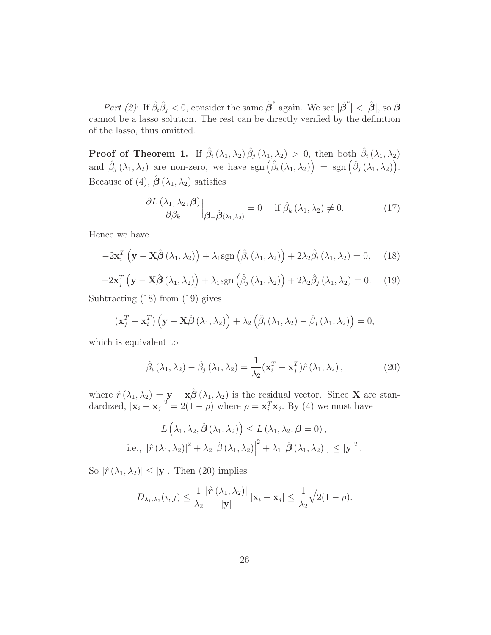Part (2): If  $\hat{\beta}_i \hat{\beta}_j < 0$ , consider the same  $\hat{\boldsymbol{\beta}}^*$  again. We see  $|\hat{\boldsymbol{\beta}}^*| < |\hat{\boldsymbol{\beta}}|$ , so  $\hat{\boldsymbol{\beta}}$ cannot be a lasso solution. The rest can be directly verified by the definition of the lasso, thus omitted.

**Proof of Theorem 1.** If  $\hat{\beta}_i(\lambda_1, \lambda_2) \hat{\beta}_j(\lambda_1, \lambda_2) > 0$ , then both  $\hat{\beta}_i(\lambda_1, \lambda_2)$ and  $\hat{\beta}_j(\lambda_1, \lambda_2)$  are non-zero, we have sgn  $(\hat{\beta}_i(\lambda_1, \lambda_2)) = \text{sgn}(\hat{\beta}_j(\lambda_1, \lambda_2)).$ Because of (4),  $\hat{\boldsymbol{\beta}}(\lambda_1, \lambda_2)$  satisfies

$$
\frac{\partial L(\lambda_1, \lambda_2, \boldsymbol{\beta})}{\partial \beta_k} \Big|_{\boldsymbol{\beta} = \hat{\boldsymbol{\beta}}(\lambda_1, \lambda_2)} = 0 \quad \text{if } \hat{\beta}_k(\lambda_1, \lambda_2) \neq 0. \tag{17}
$$

Hence we have

$$
-2\mathbf{x}_{i}^{T}\left(\mathbf{y}-\mathbf{X}\hat{\boldsymbol{\beta}}\left(\lambda_{1},\lambda_{2}\right)\right)+\lambda_{1}\mathrm{sgn}\left(\hat{\beta}_{i}\left(\lambda_{1},\lambda_{2}\right)\right)+2\lambda_{2}\hat{\beta}_{i}\left(\lambda_{1},\lambda_{2}\right)=0,\quad(18)
$$

$$
-2\mathbf{x}_{j}^{T}\left(\mathbf{y}-\mathbf{X}\hat{\boldsymbol{\beta}}\left(\lambda_{1},\lambda_{2}\right)\right)+\lambda_{1}\text{sgn}\left(\hat{\beta}_{j}\left(\lambda_{1},\lambda_{2}\right)\right)+2\lambda_{2}\hat{\beta}_{j}\left(\lambda_{1},\lambda_{2}\right)=0.\tag{19}
$$

Subtracting (18) from (19) gives

$$
(\mathbf{x}_j^T - \mathbf{x}_i^T) (\mathbf{y} - \mathbf{X}\hat{\boldsymbol{\beta}}(\lambda_1, \lambda_2)) + \lambda_2 (\hat{\beta}_i (\lambda_1, \lambda_2) - \hat{\beta}_j (\lambda_1, \lambda_2)) = 0,
$$

which is equivalent to

$$
\hat{\beta}_i(\lambda_1, \lambda_2) - \hat{\beta}_j(\lambda_1, \lambda_2) = \frac{1}{\lambda_2} (\mathbf{x}_i^T - \mathbf{x}_j^T) \hat{r}(\lambda_1, \lambda_2), \qquad (20)
$$

where  $\hat{r}(\lambda_1, \lambda_2) = \mathbf{y} - \mathbf{x}\hat{\boldsymbol{\beta}}(\lambda_1, \lambda_2)$  is the residual vector. Since **X** are standardized,  $|\mathbf{x}_i - \mathbf{x}_j|^2 = 2(1 - \rho)$  where  $\rho = \mathbf{x}_i^T \mathbf{x}_j$ . By (4) we must have

$$
L(\lambda_1, \lambda_2, \hat{\boldsymbol{\beta}}(\lambda_1, \lambda_2)) \le L(\lambda_1, \lambda_2, \boldsymbol{\beta} = 0),
$$
  
i.e.,  $|\hat{r}(\lambda_1, \lambda_2)|^2 + \lambda_2 |\hat{\boldsymbol{\beta}}(\lambda_1, \lambda_2)|^2 + \lambda_1 |\hat{\boldsymbol{\beta}}(\lambda_1, \lambda_2)|_1 \le |\mathbf{y}|^2.$ 

So  $|\hat{r}(\lambda_1, \lambda_2)| \leq |\mathbf{y}|$ . Then (20) implies

$$
D_{\lambda_1,\lambda_2}(i,j) \leq \frac{1}{\lambda_2} \frac{|\hat{\boldsymbol{r}}(\lambda_1,\lambda_2)|}{|\mathbf{y}|} |\mathbf{x}_i - \mathbf{x}_j| \leq \frac{1}{\lambda_2} \sqrt{2(1-\rho)}.
$$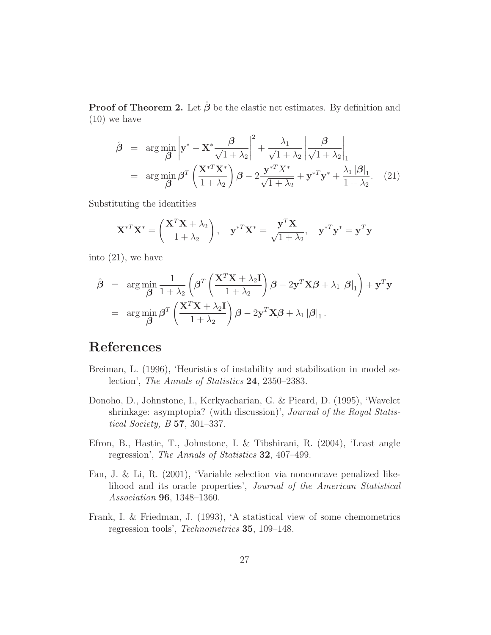**Proof of Theorem 2.** Let  $\hat{\boldsymbol{\beta}}$  be the elastic net estimates. By definition and (10) we have

$$
\hat{\boldsymbol{\beta}} = \arg \min_{\boldsymbol{\beta}} \left| \mathbf{y}^* - \mathbf{X}^* \frac{\boldsymbol{\beta}}{\sqrt{1 + \lambda_2}} \right|^2 + \frac{\lambda_1}{\sqrt{1 + \lambda_2}} \left| \frac{\boldsymbol{\beta}}{\sqrt{1 + \lambda_2}} \right|_1
$$
  
= 
$$
\arg \min_{\boldsymbol{\beta}} \boldsymbol{\beta}^T \left( \frac{\mathbf{X}^{*T} \mathbf{X}^*}{1 + \lambda_2} \right) \boldsymbol{\beta} - 2 \frac{\mathbf{y}^{*T} X^*}{\sqrt{1 + \lambda_2}} + \mathbf{y}^{*T} \mathbf{y}^* + \frac{\lambda_1 |\boldsymbol{\beta}|_1}{1 + \lambda_2}.
$$
 (21)

Substituting the identities

$$
\mathbf{X}^{*T}\mathbf{X}^* = \left(\frac{\mathbf{X}^T\mathbf{X} + \lambda_2}{1 + \lambda_2}\right), \quad \mathbf{y}^{*T}\mathbf{X}^* = \frac{\mathbf{y}^T\mathbf{X}}{\sqrt{1 + \lambda_2}}, \quad \mathbf{y}^{*T}\mathbf{y}^* = \mathbf{y}^T\mathbf{y}
$$

into (21), we have

$$
\hat{\boldsymbol{\beta}} = \arg \min_{\boldsymbol{\beta}} \frac{1}{1 + \lambda_2} \left( \boldsymbol{\beta}^T \left( \frac{\mathbf{X}^T \mathbf{X} + \lambda_2 \mathbf{I}}{1 + \lambda_2} \right) \boldsymbol{\beta} - 2 \mathbf{y}^T \mathbf{X} \boldsymbol{\beta} + \lambda_1 |\boldsymbol{\beta}|_1 \right) + \mathbf{y}^T \mathbf{y}
$$
  
= 
$$
\arg \min_{\boldsymbol{\beta}} \boldsymbol{\beta}^T \left( \frac{\mathbf{X}^T \mathbf{X} + \lambda_2 \mathbf{I}}{1 + \lambda_2} \right) \boldsymbol{\beta} - 2 \mathbf{y}^T \mathbf{X} \boldsymbol{\beta} + \lambda_1 |\boldsymbol{\beta}|_1.
$$

# **References**

- Breiman, L. (1996), 'Heuristics of instability and stabilization in model selection', The Annals of Statistics **24**, 2350–2383.
- Donoho, D., Johnstone, I., Kerkyacharian, G. & Picard, D. (1995), 'Wavelet shrinkage: asymptopia? (with discussion)', *Journal of the Royal Statis*tical Society, B **57**, 301–337.
- Efron, B., Hastie, T., Johnstone, I. & Tibshirani, R. (2004), 'Least angle regression', The Annals of Statistics **32**, 407–499.
- Fan, J. & Li, R. (2001), 'Variable selection via nonconcave penalized likelihood and its oracle properties', Journal of the American Statistical Association **96**, 1348–1360.
- Frank, I. & Friedman, J. (1993), 'A statistical view of some chemometrics regression tools', Technometrics **35**, 109–148.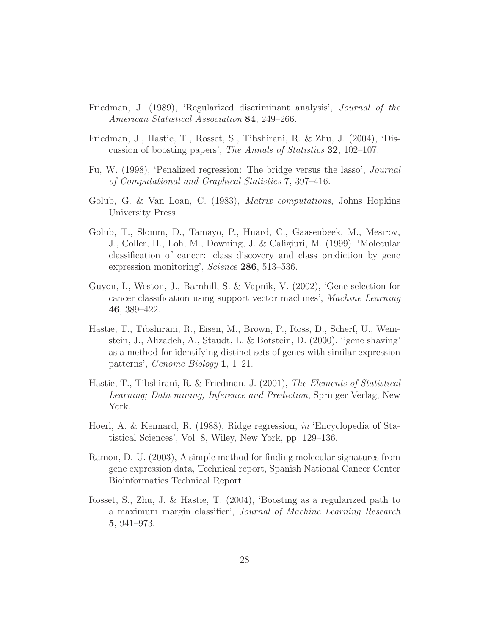- Friedman, J. (1989), 'Regularized discriminant analysis', Journal of the American Statistical Association **84**, 249–266.
- Friedman, J., Hastie, T., Rosset, S., Tibshirani, R. & Zhu, J. (2004), 'Discussion of boosting papers', The Annals of Statistics **32**, 102–107.
- Fu, W. (1998), 'Penalized regression: The bridge versus the lasso', Journal of Computational and Graphical Statistics **7**, 397–416.
- Golub, G. & Van Loan, C. (1983), *Matrix computations*, Johns Hopkins University Press.
- Golub, T., Slonim, D., Tamayo, P., Huard, C., Gaasenbeek, M., Mesirov, J., Coller, H., Loh, M., Downing, J. & Caligiuri, M. (1999), 'Molecular classification of cancer: class discovery and class prediction by gene expression monitoring', Science **286**, 513–536.
- Guyon, I., Weston, J., Barnhill, S. & Vapnik, V. (2002), 'Gene selection for cancer classification using support vector machines', Machine Learning **46**, 389–422.
- Hastie, T., Tibshirani, R., Eisen, M., Brown, P., Ross, D., Scherf, U., Weinstein, J., Alizadeh, A., Staudt, L. & Botstein, D. (2000), ''gene shaving' as a method for identifying distinct sets of genes with similar expression patterns', Genome Biology **1**, 1–21.
- Hastie, T., Tibshirani, R. & Friedman, J. (2001), The Elements of Statistical Learning; Data mining, Inference and Prediction, Springer Verlag, New York.
- Hoerl, A. & Kennard, R. (1988), Ridge regression, in 'Encyclopedia of Statistical Sciences', Vol. 8, Wiley, New York, pp. 129–136.
- Ramon, D.-U. (2003), A simple method for finding molecular signatures from gene expression data, Technical report, Spanish National Cancer Center Bioinformatics Technical Report.
- Rosset, S., Zhu, J. & Hastie, T. (2004), 'Boosting as a regularized path to a maximum margin classifier', Journal of Machine Learning Research **5**, 941–973.